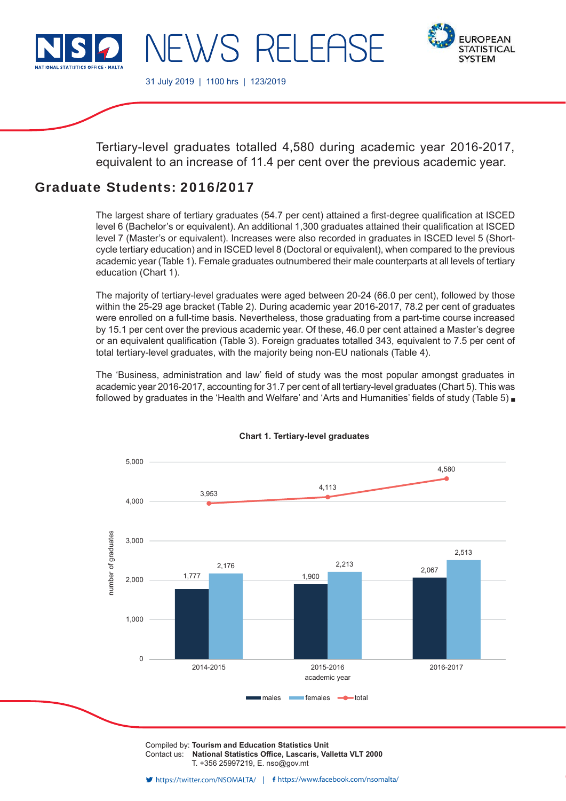

NEWS RELEF



31 July 2019 | 1100 hrs | 123/2019

Tertiary-level graduates totalled 4,580 during academic year 2016-2017, equivalent to an increase of 11.4 per cent over the previous academic year.

# Graduate Students: 2016/2017

The largest share of tertiary graduates (54.7 per cent) attained a first-degree qualification at ISCED level 6 (Bachelor's or equivalent). An additional 1,300 graduates attained their qualification at ISCED level 7 (Master's or equivalent). Increases were also recorded in graduates in ISCED level 5 (Shortcycle tertiary education) and in ISCED level 8 (Doctoral or equivalent), when compared to the previous academic year (Table 1). Female graduates outnumbered their male counterparts at all levels of tertiary education (Chart 1).

The majority of tertiary-level graduates were aged between 20-24 (66.0 per cent), followed by those within the 25-29 age bracket (Table 2). During academic year 2016-2017, 78.2 per cent of graduates were enrolled on a full-time basis. Nevertheless, those graduating from a part-time course increased by 15.1 per cent over the previous academic year. Of these, 46.0 per cent attained a Master's degree or an equivalent qualification (Table 3). Foreign graduates totalled 343, equivalent to 7.5 per cent of total tertiary-level graduates, with the majority being non-EU nationals (Table 4).

The 'Business, administration and law' field of study was the most popular amongst graduates in academic year 2016-2017, accounting for 31.7 per cent of all tertiary-level graduates (Chart 5). This was followed by graduates in the 'Health and Welfare' and 'Arts and Humanities' fields of study (Table 5)  $\blacksquare$ 



## **Chart 1. Tertiary-level graduates**

Compiled by: **Tourism and Education Statistics Unit** Contact us: National Statistics Office, Lascaris, Valletta VLT 2000 T. +356 25997219, E. nso@gov.mt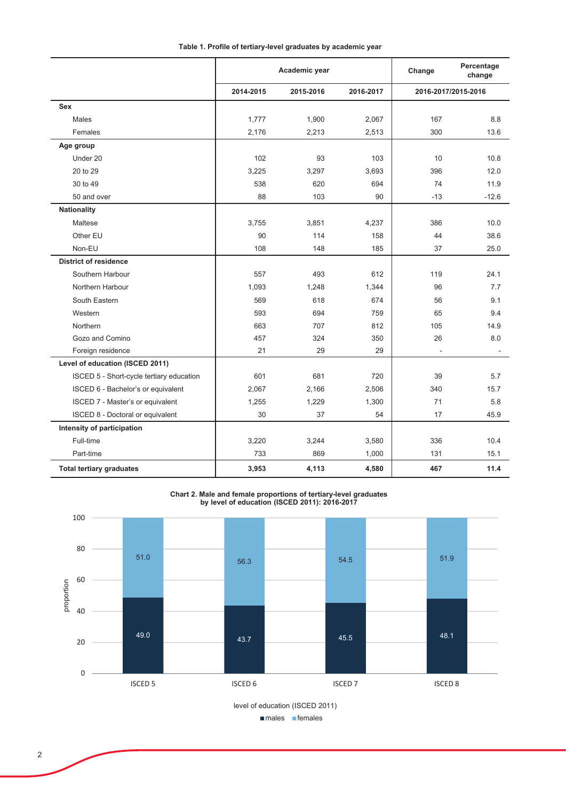|                                          |           | Academic year |           | Change | Percentage<br>change |
|------------------------------------------|-----------|---------------|-----------|--------|----------------------|
|                                          | 2014-2015 | 2015-2016     | 2016-2017 |        | 2016-2017/2015-2016  |
| Sex                                      |           |               |           |        |                      |
| Males                                    | 1,777     | 1,900         | 2,067     | 167    | 8.8                  |
| Females                                  | 2,176     | 2,213         | 2,513     | 300    | 13.6                 |
| Age group                                |           |               |           |        |                      |
| Under 20                                 | 102       | 93            | 103       | 10     | 10.8                 |
| 20 to 29                                 | 3,225     | 3,297         | 3,693     | 396    | 12.0                 |
| 30 to 49                                 | 538       | 620           | 694       | 74     | 11.9                 |
| 50 and over                              | 88        | 103           | 90        | $-13$  | $-12.6$              |
| <b>Nationality</b>                       |           |               |           |        |                      |
| Maltese                                  | 3,755     | 3,851         | 4,237     | 386    | 10.0                 |
| Other EU                                 | 90        | 114           | 158       | 44     | 38.6                 |
| Non-EU                                   | 108       | 148           | 185       | 37     | 25.0                 |
| <b>District of residence</b>             |           |               |           |        |                      |
| Southern Harbour                         | 557       | 493           | 612       | 119    | 24.1                 |
| Northern Harbour                         | 1,093     | 1,248         | 1,344     | 96     | 7.7                  |
| South Eastern                            | 569       | 618           | 674       | 56     | 9.1                  |
| Western                                  | 593       | 694           | 759       | 65     | 9.4                  |
| Northern                                 | 663       | 707           | 812       | 105    | 14.9                 |
| Gozo and Comino                          | 457       | 324           | 350       | 26     | 8.0                  |
| Foreign residence                        | 21        | 29            | 29        | ÷,     |                      |
| Level of education (ISCED 2011)          |           |               |           |        |                      |
| ISCED 5 - Short-cycle tertiary education | 601       | 681           | 720       | 39     | 5.7                  |
| ISCED 6 - Bachelor's or equivalent       | 2,067     | 2,166         | 2,506     | 340    | 15.7                 |
| ISCED 7 - Master's or equivalent         | 1,255     | 1,229         | 1,300     | 71     | 5.8                  |
| ISCED 8 - Doctoral or equivalent         | 30        | 37            | 54        | 17     | 45.9                 |
| Intensity of participation               |           |               |           |        |                      |
| Full-time                                | 3,220     | 3,244         | 3,580     | 336    | 10.4                 |
| Part-time                                | 733       | 869           | 1,000     | 131    | 15.1                 |
| <b>Total tertiary graduates</b>          | 3,953     | 4,113         | 4,580     | 467    | 11.4                 |

Chart 2. Male and female proportions of tertiary-level graduates<br>by level of education (ISCED 2011): 2016-2017

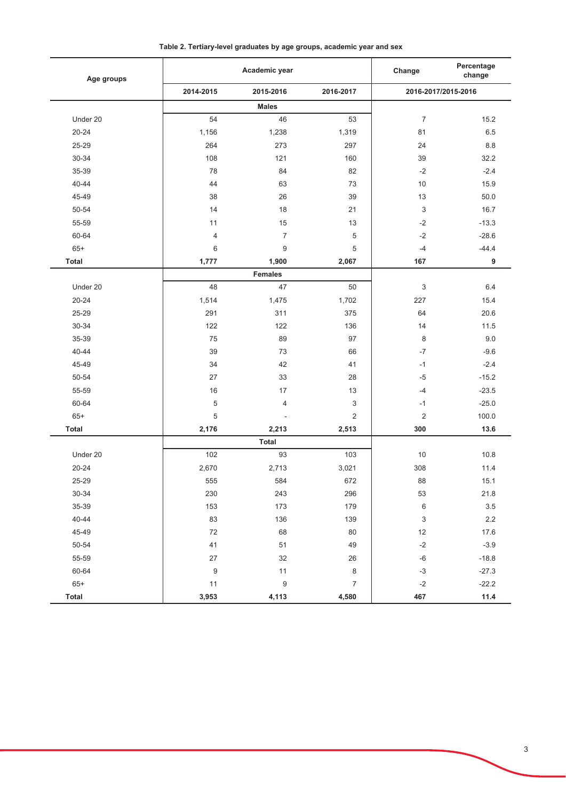Table 2. Tertiary-level graduates by age groups, academic year and sex

| Age groups   | Academic year    |                          |                           | Percentage<br>Change<br>change |         |
|--------------|------------------|--------------------------|---------------------------|--------------------------------|---------|
|              | 2014-2015        | 2015-2016                | 2016-2017                 | 2016-2017/2015-2016            |         |
|              |                  | <b>Males</b>             |                           |                                |         |
| Under 20     | 54               | 46                       | 53                        | $\overline{7}$                 | 15.2    |
| $20 - 24$    | 1,156            | 1,238                    | 1,319                     | 81                             | 6.5     |
| 25-29        | 264              | 273                      | 297                       | 24                             | 8.8     |
| 30-34        | 108              | 121                      | 160                       | 39                             | 32.2    |
| 35-39        | 78               | 84                       | 82                        | $-2$                           | $-2.4$  |
| $40 - 44$    | 44               | 63                       | 73                        | 10                             | 15.9    |
| 45-49        | 38               | 26                       | 39                        | 13                             | 50.0    |
| 50-54        | 14               | 18                       | 21                        | 3                              | 16.7    |
| 55-59        | 11               | 15                       | 13                        | $-2$                           | $-13.3$ |
| 60-64        | $\overline{4}$   | $\overline{7}$           | 5                         | $-2$                           | $-28.6$ |
| $65+$        | 6                | $\boldsymbol{9}$         | 5                         | $-4$                           | $-44.4$ |
| Total        | 1,777            | 1,900                    | 2,067                     | 167                            | 9       |
|              |                  | <b>Females</b>           |                           |                                |         |
| Under 20     | 48               | 47                       | 50                        | 3                              | 6.4     |
| $20 - 24$    | 1,514            | 1,475                    | 1,702                     | 227                            | 15.4    |
| 25-29        | 291              | 311                      | 375                       | 64                             | 20.6    |
| 30-34        | 122              | 122                      | 136                       | 14                             | 11.5    |
| 35-39        | 75               | 89                       | 97                        | 8                              | 9.0     |
| 40-44        | 39               | 73                       | 66                        | $-7$                           | $-9.6$  |
| 45-49        | 34               | 42                       | 41                        | $-1$                           | $-2.4$  |
| 50-54        | 27               | 33                       | 28                        | $-5$                           | $-15.2$ |
| 55-59        | 16               | 17                       | 13                        | $-4$                           | $-23.5$ |
| 60-64        | 5                | $\overline{\mathcal{L}}$ | $\ensuremath{\mathsf{3}}$ | $-1$                           | $-25.0$ |
| $65+$        | 5                | $\overline{\phantom{a}}$ | $\overline{2}$            | $\boldsymbol{2}$               | 100.0   |
| <b>Total</b> | 2,176            | 2,213                    | 2,513                     | 300                            | 13.6    |
|              |                  | Total                    |                           |                                |         |
| Under 20     | 102              | 93                       | 103                       | 10                             | 10.8    |
| $20 - 24$    | 2,670            | 2,713                    | 3,021                     | 308                            | 11.4    |
| 25-29        | 555              | 584                      | 672                       | 88                             | 15.1    |
| $30 - 34$    | 230              | 243                      | 296                       | 53                             | 21.8    |
| 35-39        | 153              | 173                      | 179                       | $\,6\,$                        | $3.5\,$ |
| 40-44        | 83               | 136                      | 139                       | $\ensuremath{\mathsf{3}}$      | $2.2\,$ |
| 45-49        | $72\,$           | 68                       | $80\,$                    | 12                             | 17.6    |
| 50-54        | 41               | 51                       | 49                        | $-2$                           | $-3.9$  |
| 55-59        | $27\,$           | 32                       | 26                        | $-6$                           | $-18.8$ |
| 60-64        | $\boldsymbol{9}$ | 11                       | $\,8\,$                   | $-3$                           | $-27.3$ |
| $65+$        | $11$             | $\boldsymbol{9}$         | $\boldsymbol{7}$          | $-2$                           | $-22.2$ |
| <b>Total</b> | 3,953            | 4,113                    | 4,580                     | 467                            | 11.4    |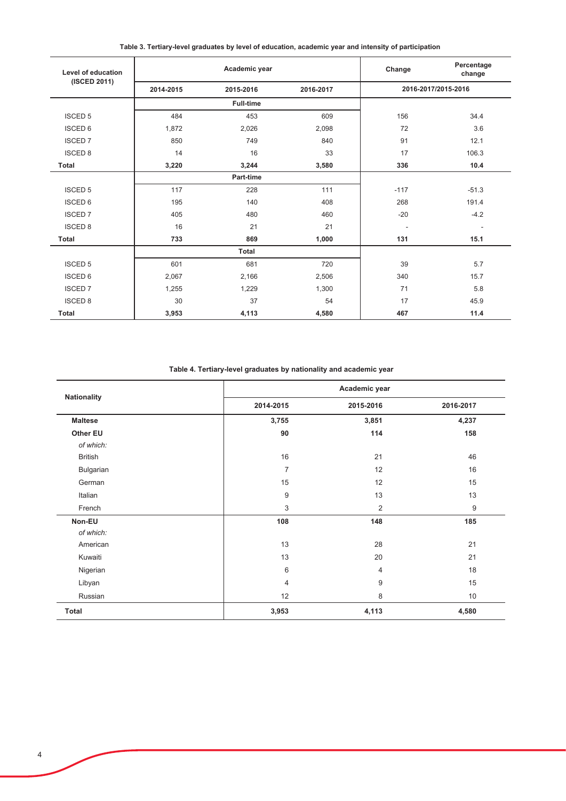Table 3. Tertiary-level graduates by level of education, academic year and intensity of participation

| Level of education | Academic year |                  |           | Change | Percentage<br>change |
|--------------------|---------------|------------------|-----------|--------|----------------------|
| (ISCED 2011)       | 2014-2015     | 2015-2016        | 2016-2017 |        | 2016-2017/2015-2016  |
|                    |               | <b>Full-time</b> |           |        |                      |
| <b>ISCED 5</b>     | 484           | 453              | 609       | 156    | 34.4                 |
| <b>ISCED 6</b>     | 1,872         | 2,026            | 2,098     | 72     | 3.6                  |
| <b>ISCED 7</b>     | 850           | 749              | 840       | 91     | 12.1                 |
| <b>ISCED 8</b>     | 14            | 16               | 33        | 17     | 106.3                |
| <b>Total</b>       | 3,220         | 3,244            | 3,580     | 336    | 10.4                 |
|                    |               | Part-time        |           |        |                      |
| <b>ISCED 5</b>     | 117           | 228              | 111       | $-117$ | $-51.3$              |
| <b>ISCED 6</b>     | 195           | 140              | 408       | 268    | 191.4                |
| <b>ISCED 7</b>     | 405           | 480              | 460       | $-20$  | $-4.2$               |
| <b>ISCED 8</b>     | 16            | 21               | 21        | ٠      | $\blacksquare$       |
| <b>Total</b>       | 733           | 869              | 1,000     | 131    | 15.1                 |
|                    |               | <b>Total</b>     |           |        |                      |
| <b>ISCED 5</b>     | 601           | 681              | 720       | 39     | 5.7                  |
| <b>ISCED 6</b>     | 2,067         | 2,166            | 2,506     | 340    | 15.7                 |
| <b>ISCED 7</b>     | 1,255         | 1,229            | 1,300     | 71     | 5.8                  |
| <b>ISCED 8</b>     | 30            | 37               | 54        | 17     | 45.9                 |
| <b>Total</b>       | 3,953         | 4,113            | 4,580     | 467    | 11.4                 |

Table 4. Tertiary-level graduates by nationality and academic year

| <b>Nationality</b> |                | Academic year  |           |  |  |  |  |
|--------------------|----------------|----------------|-----------|--|--|--|--|
|                    | 2014-2015      | 2015-2016      | 2016-2017 |  |  |  |  |
| <b>Maltese</b>     | 3,755          | 3,851          | 4,237     |  |  |  |  |
| Other EU           | 90             | 114            | 158       |  |  |  |  |
| of which:          |                |                |           |  |  |  |  |
| <b>British</b>     | 16             | 21             | 46        |  |  |  |  |
| Bulgarian          | 7              | 12             | 16        |  |  |  |  |
| German             | 15             | 12             | 15        |  |  |  |  |
| Italian            | $9\,$          | 13             | 13        |  |  |  |  |
| French             | 3              | $\overline{2}$ | 9         |  |  |  |  |
| Non-EU             | 108            | 148            | 185       |  |  |  |  |
| of which:          |                |                |           |  |  |  |  |
| American           | 13             | 28             | 21        |  |  |  |  |
| Kuwaiti            | 13             | 20             | 21        |  |  |  |  |
| Nigerian           | 6              | 4              | 18        |  |  |  |  |
| Libyan             | $\overline{4}$ | 9              | 15        |  |  |  |  |
| Russian            | 12             | 8              | 10        |  |  |  |  |
| Total              | 3,953          | 4,113          | 4,580     |  |  |  |  |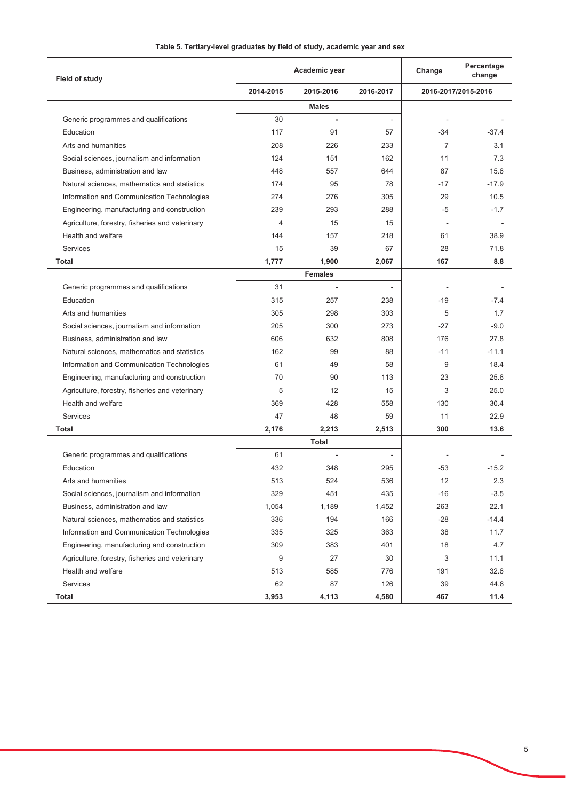| Field of study                                  | Academic year |                |           | Change         | Percentage<br>change |
|-------------------------------------------------|---------------|----------------|-----------|----------------|----------------------|
|                                                 | 2014-2015     | 2015-2016      | 2016-2017 |                | 2016-2017/2015-2016  |
|                                                 |               | <b>Males</b>   |           |                |                      |
| Generic programmes and qualifications           | 30            |                |           |                |                      |
| Education                                       | 117           | 91             | 57        | -34            | $-37.4$              |
| Arts and humanities                             | 208           | 226            | 233       | $\overline{7}$ | 3.1                  |
| Social sciences, journalism and information     | 124           | 151            | 162       | 11             | 7.3                  |
| Business, administration and law                | 448           | 557            | 644       | 87             | 15.6                 |
| Natural sciences, mathematics and statistics    | 174           | 95             | 78        | $-17$          | $-17.9$              |
| Information and Communication Technologies      | 274           | 276            | 305       | 29             | 10.5                 |
| Engineering, manufacturing and construction     | 239           | 293            | 288       | -5             | $-1.7$               |
| Agriculture, forestry, fisheries and veterinary | 4             | 15             | 15        |                |                      |
| Health and welfare                              | 144           | 157            | 218       | 61             | 38.9                 |
| Services                                        | 15            | 39             | 67        | 28             | 71.8                 |
| Total                                           | 1,777         | 1,900          | 2,067     | 167            | 8.8                  |
|                                                 |               | <b>Females</b> |           |                |                      |
| Generic programmes and qualifications           | 31            | $\blacksquare$ |           |                |                      |
| Education                                       | 315           | 257            | 238       | $-19$          | $-7.4$               |
| Arts and humanities                             | 305           | 298            | 303       | 5              | 1.7                  |
| Social sciences, journalism and information     | 205           | 300            | 273       | $-27$          | $-9.0$               |
| Business, administration and law                | 606           | 632            | 808       | 176            | 27.8                 |
| Natural sciences, mathematics and statistics    | 162           | 99             | 88        | $-11$          | $-11.1$              |
| Information and Communication Technologies      | 61            | 49             | 58        | 9              | 18.4                 |
| Engineering, manufacturing and construction     | 70            | 90             | 113       | 23             | 25.6                 |
| Agriculture, forestry, fisheries and veterinary | 5             | 12             | 15        | 3              | 25.0                 |
| Health and welfare                              | 369           | 428            | 558       | 130            | 30.4                 |
| Services                                        | 47            | 48             | 59        | 11             | 22.9                 |
| Total                                           | 2,176         | 2,213          | 2,513     | 300            | 13.6                 |
|                                                 |               | <b>Total</b>   |           |                |                      |
| Generic programmes and qualifications           | 61            |                |           |                |                      |
| Education                                       | 432           | 348            | 295       | $-53$          | $-15.2$              |
| Arts and humanities                             | 513           | 524            | 536       | 12             | 2.3                  |
| Social sciences, journalism and information     | 329           | 451            | 435       | $-16$          | $-3.5$               |
| Business, administration and law                | 1,054         | 1,189          | 1,452     | 263            | 22.1                 |
| Natural sciences, mathematics and statistics    | 336           | 194            | 166       | $-28$          | $-14.4$              |
| Information and Communication Technologies      | 335           | 325            | 363       | 38             | 11.7                 |
| Engineering, manufacturing and construction     | 309           | 383            | 401       | 18             | 4.7                  |
| Agriculture, forestry, fisheries and veterinary | 9             | 27             | 30        | 3              | 11.1                 |
| Health and welfare                              | 513           | 585            | 776       | 191            | 32.6                 |
| Services                                        | 62            | 87             | 126       | 39             | 44.8                 |
| <b>Total</b>                                    | 3,953         | 4,113          | 4,580     | 467            | 11.4                 |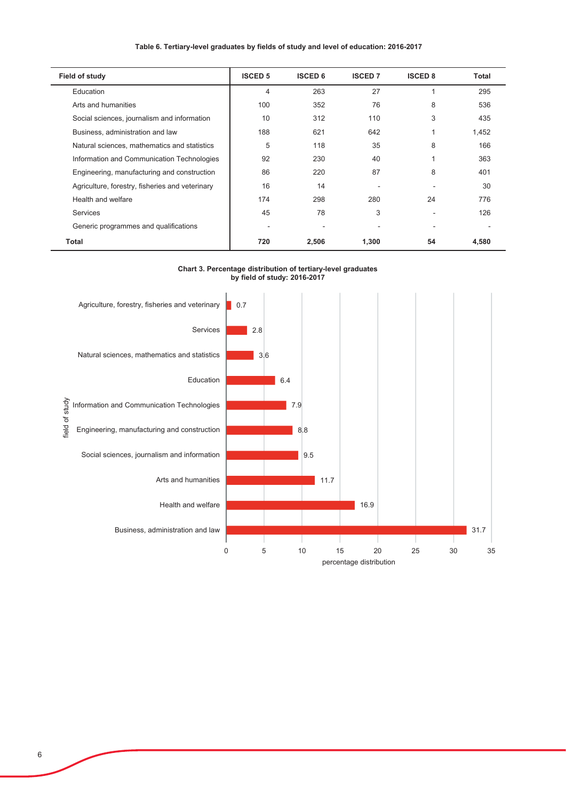### Table 6. Tertiary-level graduates by fields of study and level of education: 2016-2017

| <b>Field of study</b>                           | <b>ISCED 5</b> | <b>ISCED 6</b> | <b>ISCED 7</b> | <b>ISCED 8</b> | Total |
|-------------------------------------------------|----------------|----------------|----------------|----------------|-------|
| Education                                       | 4              | 263            | 27             |                | 295   |
| Arts and humanities                             | 100            | 352            | 76             | 8              | 536   |
| Social sciences, journalism and information     | 10             | 312            | 110            | 3              | 435   |
| Business, administration and law                | 188            | 621            | 642            |                | 1,452 |
| Natural sciences, mathematics and statistics    | 5              | 118            | 35             | 8              | 166   |
| Information and Communication Technologies      | 92             | 230            | 40             |                | 363   |
| Engineering, manufacturing and construction     | 86             | 220            | 87             | 8              | 401   |
| Agriculture, forestry, fisheries and veterinary | 16             | 14             |                |                | 30    |
| Health and welfare                              | 174            | 298            | 280            | 24             | 776   |
| <b>Services</b>                                 | 45             | 78             | 3              |                | 126   |
| Generic programmes and qualifications           |                |                |                |                |       |
| Total                                           | 720            | 2,506          | 1,300          | 54             | 4,580 |